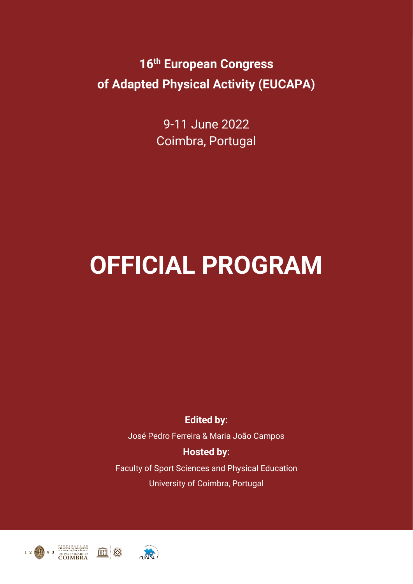9-11 June 2022 Coimbra, Portugal

# **OFFICIAL PROGRAM**

**Edited by:**

José Pedro Ferreira & Maria João Campos

#### **Hosted by:**

Faculty of Sport Sciences and Physical Education University of Coimbra, Portugal



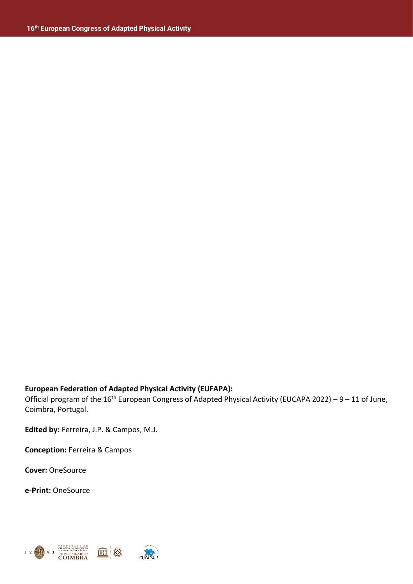#### **European Federation of Adapted Physical Activity (EUFAPA):**

Official program of the 16<sup>th</sup> European Congress of Adapted Physical Activity (EUCAPA 2022) – 9 – 11 of June, Coimbra, Portugal.

**Edited by:** Ferreira, J.P. & Campos, M.J.

**Conception:** Ferreira & Campos

**Cover:** OneSource

**e-Print:** OneSource

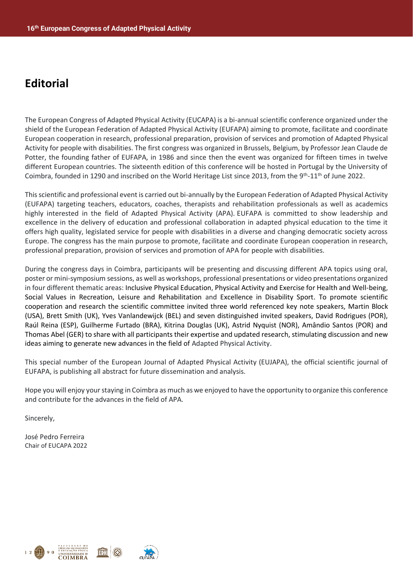### **Editorial**

The European Congress of Adapted Physical Activity (EUCAPA) is a bi-annual scientific conference organized under the shield of the European Federation of Adapted Physical Activity (EUFAPA) aiming to promote, facilitate and coordinate European cooperation in research, professional preparation, provision of services and promotion of Adapted Physical Activity for people with disabilities. The first congress was organized in Brussels, Belgium, by Professor Jean Claude de Potter, the founding father of EUFAPA, in 1986 and since then the event was organized for fifteen times in twelve different European countries. The sixteenth edition of this conference will be hosted in Portugal by the University of Coimbra, founded in 1290 and inscribed on the World Heritage List since 2013, from the 9<sup>th</sup>-11<sup>th</sup> of June 2022.

This scientific and professional event is carried out bi-annually by the European Federation of Adapted Physical Activity (EUFAPA) targeting teachers, educators, coaches, therapists and rehabilitation professionals as well as academics highly interested in the field of Adapted Physical Activity (APA). EUFAPA is committed to show leadership and excellence in the delivery of education and professional collaboration in adapted physical education to the time it offers high quality, legislated service for people with disabilities in a diverse and changing democratic society across Europe. The congress has the main purpose to promote, facilitate and coordinate European cooperation in research, professional preparation, provision of services and promotion of APA for people with disabilities.

During the congress days in Coimbra, participants will be presenting and discussing different APA topics using oral, poster or mini-symposium sessions, as well as workshops, professional presentations or video presentations organized in four different thematic areas: Inclusive Physical Education, Physical Activity and Exercise for Health and Well-being, Social Values in Recreation, Leisure and Rehabilitation and Excellence in Disability Sport. To promote scientific cooperation and research the scientific committee invited three world referenced key note speakers, Martin Block (USA), Brett Smith (UK), Yves Vanlandewijck (BEL) and seven distinguished invited speakers, David Rodrigues (POR), Raúl Reina (ESP), Guilherme Furtado (BRA), Kitrina Douglas (UK), Astrid Nyquist (NOR), Amândio Santos (POR) and Thomas Abel (GER) to share with all participants their expertise and updated research, stimulating discussion and new ideas aiming to generate new advances in the field of Adapted Physical Activity.

This special number of the European Journal of Adapted Physical Activity (EUJAPA), the official scientific journal of EUFAPA, is publishing all abstract for future dissemination and analysis.

Hope you will enjoy your staying in Coimbra as much as we enjoyed to have the opportunity to organize this conference and contribute for the advances in the field of APA.

Sincerely,

José Pedro Ferreira Chair of EUCAPA 2022

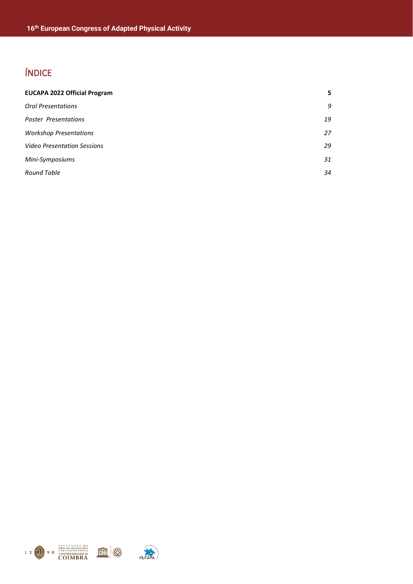### ÍNDICE

| <b>EUCAPA 2022 Official Program</b> | 5  |
|-------------------------------------|----|
| <b>Oral Presentations</b>           | 9  |
| <b>Poster Presentations</b>         | 19 |
| <b>Workshop Presentations</b>       | 27 |
| <b>Video Presentation Sessions</b>  | 29 |
| Mini-Symposiums                     | 31 |
| <b>Round Table</b>                  | 34 |
|                                     |    |

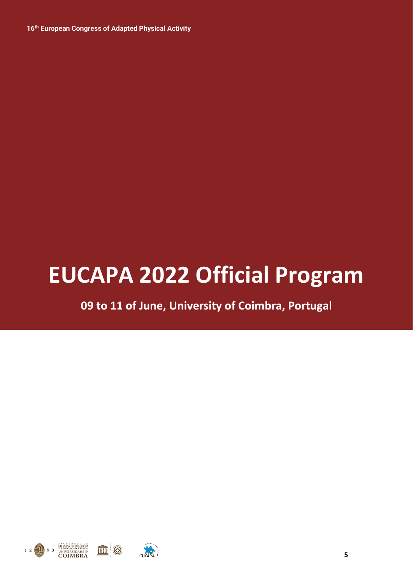# **EUCAPA 2022 Official Program**

**09 to 11 of June, University of Coimbra, Portugal**

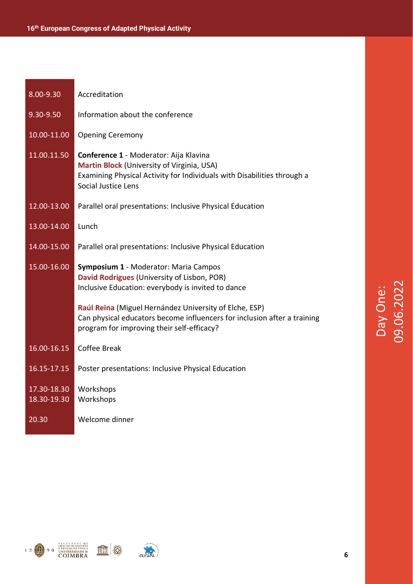| 8.00-9.30                  | Accreditation                                                                                                                                                                          |
|----------------------------|----------------------------------------------------------------------------------------------------------------------------------------------------------------------------------------|
| 9.30-9.50                  | Information about the conference                                                                                                                                                       |
| 10.00-11.00                | <b>Opening Ceremony</b>                                                                                                                                                                |
| 11.00.11.50                | Conference 1 - Moderator: Aija Klavina<br>Martin Block (University of Virginia, USA)<br>Examining Physical Activity for Individuals with Disabilities through a<br>Social Justice Lens |
| 12.00-13.00                | Parallel oral presentations: Inclusive Physical Education                                                                                                                              |
| 13.00-14.00                | Lunch                                                                                                                                                                                  |
| 14.00-15.00                | Parallel oral presentations: Inclusive Physical Education                                                                                                                              |
| 15.00-16.00                | Symposium 1 - Moderator: Maria Campos<br>David Rodrigues (University of Lisbon, POR)                                                                                                   |
|                            | Inclusive Education: everybody is invited to dance                                                                                                                                     |
|                            | Raúl Reina (Miguel Hernández University of Elche, ESP)<br>Can physical educators become influencers for inclusion after a training<br>program for improving their self-efficacy?       |
| 16.00-16.15                | Coffee Break                                                                                                                                                                           |
| 16.15-17.15                | Poster presentations: Inclusive Physical Education                                                                                                                                     |
| 17.30-18.30<br>18.30-19.30 | Workshops<br>Workshops                                                                                                                                                                 |







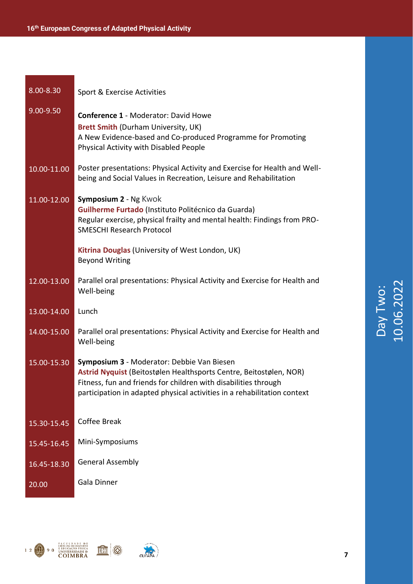| 8.00-8.30   | Sport & Exercise Activities                                                                                                                                                                                                                                     |
|-------------|-----------------------------------------------------------------------------------------------------------------------------------------------------------------------------------------------------------------------------------------------------------------|
| 9.00-9.50   | <b>Conference 1 - Moderator: David Howe</b><br><b>Brett Smith (Durham University, UK)</b><br>A New Evidence-based and Co-produced Programme for Promoting<br>Physical Activity with Disabled People                                                             |
| 10.00-11.00 | Poster presentations: Physical Activity and Exercise for Health and Well-<br>being and Social Values in Recreation, Leisure and Rehabilitation                                                                                                                  |
| 11.00-12.00 | Symposium 2 - Ng Kwok<br>Guilherme Furtado (Instituto Politécnico da Guarda)<br>Regular exercise, physical frailty and mental health: Findings from PRO-<br><b>SMESCHI Research Protocol</b>                                                                    |
|             | Kitrina Douglas (University of West London, UK)<br><b>Beyond Writing</b>                                                                                                                                                                                        |
| 12.00-13.00 | Parallel oral presentations: Physical Activity and Exercise for Health and<br>Well-being                                                                                                                                                                        |
| 13.00-14.00 | Lunch                                                                                                                                                                                                                                                           |
| 14.00-15.00 | Parallel oral presentations: Physical Activity and Exercise for Health and<br>Well-being                                                                                                                                                                        |
| 15.00-15.30 | Symposium 3 - Moderator: Debbie Van Biesen<br>Astrid Nyquist (Beitostølen Healthsports Centre, Beitostølen, NOR)<br>Fitness, fun and friends for children with disabilities through<br>participation in adapted physical activities in a rehabilitation context |
| 15.30-15.45 | Coffee Break                                                                                                                                                                                                                                                    |
| 15.45-16.45 | Mini-Symposiums                                                                                                                                                                                                                                                 |
| 16.45-18.30 | <b>General Assembly</b>                                                                                                                                                                                                                                         |
| 20.00       | Gala Dinner                                                                                                                                                                                                                                                     |





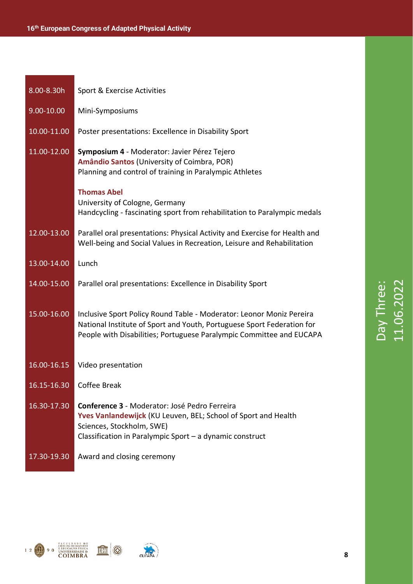| 8.00-8.30h  | Sport & Exercise Activities                                                                                                                                                                                            |
|-------------|------------------------------------------------------------------------------------------------------------------------------------------------------------------------------------------------------------------------|
| 9.00-10.00  | Mini-Symposiums                                                                                                                                                                                                        |
| 10.00-11.00 | Poster presentations: Excellence in Disability Sport                                                                                                                                                                   |
| 11.00-12.00 | Symposium 4 - Moderator: Javier Pérez Tejero<br>Amândio Santos (University of Coimbra, POR)<br>Planning and control of training in Paralympic Athletes                                                                 |
|             | <b>Thomas Abel</b><br>University of Cologne, Germany<br>Handcycling - fascinating sport from rehabilitation to Paralympic medals                                                                                       |
| 12.00-13.00 | Parallel oral presentations: Physical Activity and Exercise for Health and<br>Well-being and Social Values in Recreation, Leisure and Rehabilitation                                                                   |
| 13.00-14.00 | Lunch                                                                                                                                                                                                                  |
| 14.00-15.00 | Parallel oral presentations: Excellence in Disability Sport                                                                                                                                                            |
| 15.00-16.00 | Inclusive Sport Policy Round Table - Moderator: Leonor Moniz Pereira<br>National Institute of Sport and Youth, Portuguese Sport Federation for<br>People with Disabilities; Portuguese Paralympic Committee and EUCAPA |
| 16.00-16.15 | Video presentation                                                                                                                                                                                                     |
| 16.15-16.30 | Coffee Break                                                                                                                                                                                                           |
| 16.30-17.30 | Conference 3 - Moderator: José Pedro Ferreira<br>Yves Vanlandewijck (KU Leuven, BEL; School of Sport and Health<br>Sciences, Stockholm, SWE)<br>Classification in Paralympic Sport $-$ a dynamic construct             |
| 17.30-19.30 | Award and closing ceremony                                                                                                                                                                                             |







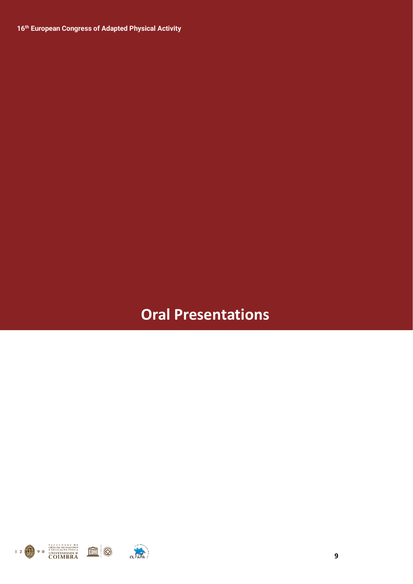### **Oral Presentations**

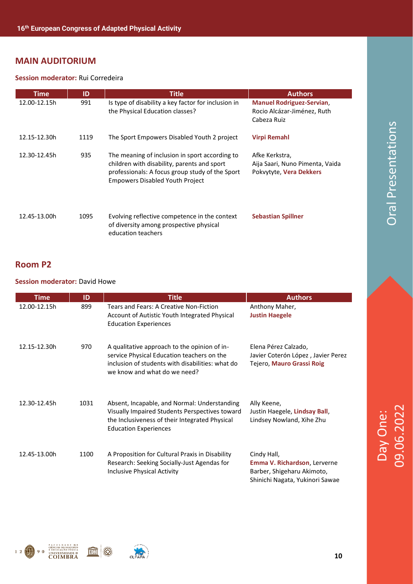#### **MAIN AUDITORIUM**

#### **Session moderator:** Rui Corredeira

| <b>Time</b>  | ID   | <b>Title</b>                                                                                                                                                                               | <b>Authors</b>                                                                 |
|--------------|------|--------------------------------------------------------------------------------------------------------------------------------------------------------------------------------------------|--------------------------------------------------------------------------------|
| 12.00-12.15h | 991  | Is type of disability a key factor for inclusion in<br>the Physical Education classes?                                                                                                     | <b>Manuel Rodriguez-Servian,</b><br>Rocio Alcázar-Jiménez, Ruth<br>Cabeza Ruiz |
| 12.15-12.30h | 1119 | The Sport Empowers Disabled Youth 2 project                                                                                                                                                | <b>Virpi Remahl</b>                                                            |
| 12.30-12.45h | 935  | The meaning of inclusion in sport according to<br>children with disability, parents and sport<br>professionals: A focus group study of the Sport<br><b>Empowers Disabled Youth Project</b> | Afke Kerkstra,<br>Aija Saari, Nuno Pimenta, Vaida<br>Pokvytyte, Vera Dekkers   |
| 12.45-13.00h | 1095 | Evolving reflective competence in the context<br>of diversity among prospective physical<br>education teachers                                                                             | <b>Sebastian Spillner</b>                                                      |

#### **Room P2**

#### **Session moderator:** David Howe

| <b>Time</b>  | ID   | <b>Title</b>                                                                                                                                                                     | <b>Authors</b>                                                                                               |
|--------------|------|----------------------------------------------------------------------------------------------------------------------------------------------------------------------------------|--------------------------------------------------------------------------------------------------------------|
| 12.00-12.15h | 899  | Tears and Fears: A Creative Non-Fiction<br>Account of Autistic Youth Integrated Physical<br><b>Education Experiences</b>                                                         | Anthony Maher,<br><b>Justin Haegele</b>                                                                      |
| 12.15-12.30h | 970  | A qualitative approach to the opinion of in-<br>service Physical Education teachers on the<br>inclusion of students with disabilities: what do<br>we know and what do we need?   | Elena Pérez Calzado,<br>Javier Coterón López, Javier Perez<br>Tejero, Mauro Grassi Roig                      |
| 12.30-12.45h | 1031 | Absent, Incapable, and Normal: Understanding<br>Visually Impaired Students Perspectives toward<br>the Inclusiveness of their Integrated Physical<br><b>Education Experiences</b> | Ally Keene,<br>Justin Haegele, Lindsay Ball,<br>Lindsey Nowland, Xihe Zhu                                    |
| 12.45-13.00h | 1100 | A Proposition for Cultural Praxis in Disability<br>Research: Seeking Socially-Just Agendas for<br><b>Inclusive Physical Activity</b>                                             | Cindy Hall,<br>Emma V. Richardson, Lerverne<br>Barber, Shigeharu Akimoto,<br>Shinichi Nagata, Yukinori Sawae |



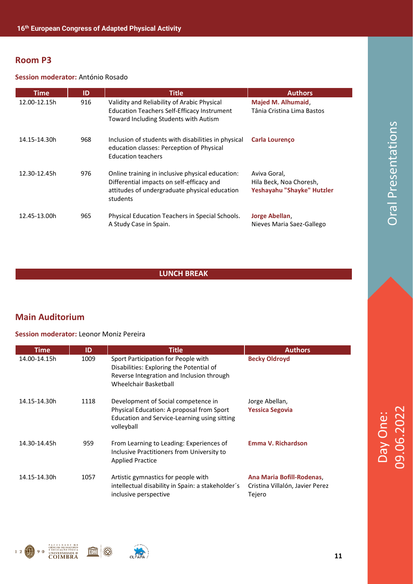#### **Session moderator:** António Rosado

| <b>Time</b>  | ID  | <b>Title</b>                                                                                                                                               | <b>Authors</b>                                                        |
|--------------|-----|------------------------------------------------------------------------------------------------------------------------------------------------------------|-----------------------------------------------------------------------|
| 12.00-12.15h | 916 | Validity and Reliability of Arabic Physical<br><b>Education Teachers Self-Efficacy Instrument</b><br>Toward Including Students with Autism                 | Majed M. Alhumaid,<br>Tânia Cristina Lima Bastos                      |
| 14.15-14.30h | 968 | Inclusion of students with disabilities in physical<br>education classes: Perception of Physical<br><b>Education teachers</b>                              | Carla Lourenço                                                        |
| 12.30-12.45h | 976 | Online training in inclusive physical education:<br>Differential impacts on self-efficacy and<br>attitudes of undergraduate physical education<br>students | Aviva Goral,<br>Hila Beck, Noa Choresh,<br>Yeshayahu "Shayke" Hutzler |
| 12.45-13.00h | 965 | Physical Education Teachers in Special Schools.<br>A Study Case in Spain.                                                                                  | Jorge Abellan,<br>Nieves Maria Saez-Gallego                           |

#### **LUNCH BREAK**

#### **Main Auditorium**

#### **Session moderator:** Leonor Moniz Pereira

| Time         | ID   | <b>Title</b>                                                                                                                                          | <b>Authors</b>                                                        |
|--------------|------|-------------------------------------------------------------------------------------------------------------------------------------------------------|-----------------------------------------------------------------------|
| 14.00-14.15h | 1009 | Sport Participation for People with<br>Disabilities: Exploring the Potential of<br>Reverse Integration and Inclusion through<br>Wheelchair Basketball | <b>Becky Oldroyd</b>                                                  |
| 14.15-14.30h | 1118 | Development of Social competence in<br>Physical Education: A proposal from Sport<br>Education and Service-Learning using sitting<br>volleyball        | Jorge Abellan,<br><b>Yessica Segovia</b>                              |
| 14.30-14.45h | 959  | From Learning to Leading: Experiences of<br>Inclusive Practitioners from University to<br><b>Applied Practice</b>                                     | Emma V. Richardson                                                    |
| 14.15-14.30h | 1057 | Artistic gymnastics for people with<br>intellectual disability in Spain: a stakeholder's<br>inclusive perspective                                     | Ana Maria Bofill-Rodenas<br>Cristina Villalón, Javier Perez<br>Tejero |



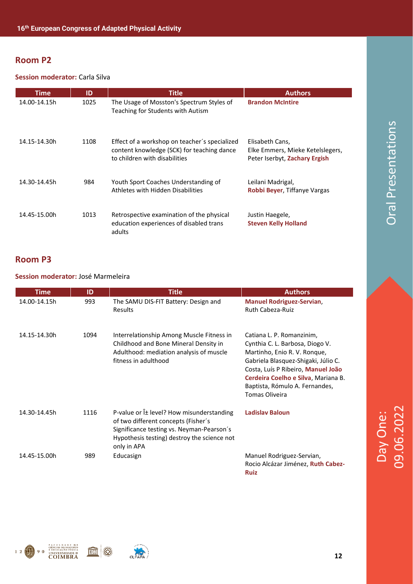#### **Session moderator:** Carla Silva

| Time         | ID   | <b>Title</b>                                                                                                                 | <b>Authors</b>                                                                       |
|--------------|------|------------------------------------------------------------------------------------------------------------------------------|--------------------------------------------------------------------------------------|
| 14.00-14.15h | 1025 | The Usage of Mosston's Spectrum Styles of<br>Teaching for Students with Autism                                               | <b>Brandon McIntire</b>                                                              |
| 14.15-14.30h | 1108 | Effect of a workshop on teacher's specialized<br>content knowledge (SCK) for teaching dance<br>to children with disabilities | Elisabeth Cans,<br>Elke Emmers, Mieke Ketelslegers,<br>Peter Iserbyt, Zachary Ergish |
| 14.30-14.45h | 984  | Youth Sport Coaches Understanding of<br>Athletes with Hidden Disabilities                                                    | Leilani Madrigal,<br><b>Robbi Beyer, Tiffanye Vargas</b>                             |
| 14.45-15.00h | 1013 | Retrospective examination of the physical<br>education experiences of disabled trans<br>adults                               | Justin Haegele,<br><b>Steven Kelly Holland</b>                                       |

#### **Room P3**

#### **Session moderator:** José Marmeleira

| Time         | ID   | Title                                                                                                                                                                                                | <b>Authors</b>                                                                                                                                                                                                                                                       |
|--------------|------|------------------------------------------------------------------------------------------------------------------------------------------------------------------------------------------------------|----------------------------------------------------------------------------------------------------------------------------------------------------------------------------------------------------------------------------------------------------------------------|
| 14.00-14.15h | 993  | The SAMU DIS-FIT Battery: Design and<br>Results                                                                                                                                                      | <b>Manuel Rodriguez-Servian,</b><br>Ruth Cabeza-Ruiz                                                                                                                                                                                                                 |
| 14.15-14.30h | 1094 | Interrelationship Among Muscle Fitness in<br>Childhood and Bone Mineral Density in<br>Adulthood: mediation analysis of muscle<br>fitness in adulthood                                                | Catiana L. P. Romanzinim,<br>Cynthia C. L. Barbosa, Diogo V.<br>Martinho, Enio R. V. Ronque,<br>Gabriela Blasquez-Shigaki, Júlio C.<br>Costa, Luís P Ribeiro, Manuel João<br>Cerdeira Coelho e Silva, Mariana B.<br>Baptista, Rómulo A. Fernandes,<br>Tomas Oliveira |
| 14.30-14.45h | 1116 | P-value or $\hat{I}$ ± level? How misunderstanding<br>of two different concepts (Fisher's<br>Significance testing vs. Neyman-Pearson's<br>Hypothesis testing) destroy the science not<br>only in APA | <b>Ladislav Baloun</b>                                                                                                                                                                                                                                               |
| 14.45-15.00h | 989  | Educasign                                                                                                                                                                                            | Manuel Rodriguez-Servian,<br>Rocio Alcázar Jiménez, Ruth Cabez-<br><b>Ruiz</b>                                                                                                                                                                                       |





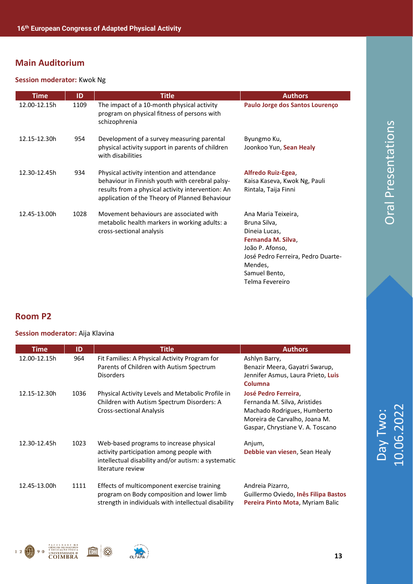#### **Session moderator:** Kwok Ng

| <b>Time</b>  | ID   | <b>Title</b>                                                                                                                                                                                         | <b>Authors</b>                                                                                                                                                                     |
|--------------|------|------------------------------------------------------------------------------------------------------------------------------------------------------------------------------------------------------|------------------------------------------------------------------------------------------------------------------------------------------------------------------------------------|
| 12.00-12.15h | 1109 | The impact of a 10-month physical activity<br>program on physical fitness of persons with<br>schizophrenia                                                                                           | Paulo Jorge dos Santos Lourenço                                                                                                                                                    |
| 12.15-12.30h | 954  | Development of a survey measuring parental<br>physical activity support in parents of children<br>with disabilities                                                                                  | Byungmo Ku,<br>Joonkoo Yun, Sean Healy                                                                                                                                             |
| 12.30-12.45h | 934  | Physical activity intention and attendance<br>behaviour in Finnish youth with cerebral palsy-<br>results from a physical activity intervention: An<br>application of the Theory of Planned Behaviour | Alfredo Ruiz-Egea,<br>Kaisa Kaseva, Kwok Ng, Pauli<br>Rintala, Taija Finni                                                                                                         |
| 12.45-13.00h | 1028 | Movement behaviours are associated with<br>metabolic health markers in working adults: a<br>cross-sectional analysis                                                                                 | Ana Maria Teixeira,<br>Bruna Silva,<br>Dineia Lucas,<br>Fernanda M. Silva,<br>João P. Afonso,<br>José Pedro Ferreira, Pedro Duarte-<br>Mendes,<br>Samuel Bento,<br>Telma Fevereiro |

#### **Room P2**

#### **Session moderator:** Aija Klavina

| <b>Time</b>  | ID   | <b>Title</b>                                                                                                                                                    | <b>Authors</b>                                                                                                                                           |
|--------------|------|-----------------------------------------------------------------------------------------------------------------------------------------------------------------|----------------------------------------------------------------------------------------------------------------------------------------------------------|
| 12.00-12.15h | 964  | Fit Families: A Physical Activity Program for<br>Parents of Children with Autism Spectrum<br><b>Disorders</b>                                                   | Ashlyn Barry,<br>Benazir Meera, Gayatri Swarup,<br>Jennifer Asmus, Laura Prieto, Luis<br>Columna                                                         |
| 12.15-12.30h | 1036 | Physical Activity Levels and Metabolic Profile in<br>Children with Autism Spectrum Disorders: A<br><b>Cross-sectional Analysis</b>                              | José Pedro Ferreira,<br>Fernanda M. Silva, Aristides<br>Machado Rodrigues, Humberto<br>Moreira de Carvalho, Joana M.<br>Gaspar, Chrystiane V. A. Toscano |
| 12.30-12.45h | 1023 | Web-based programs to increase physical<br>activity participation among people with<br>intellectual disability and/or autism: a systematic<br>literature review | Anjum,<br>Debbie van viesen, Sean Healy                                                                                                                  |
| 12.45-13.00h | 1111 | Effects of multicomponent exercise training<br>program on Body composition and lower limb<br>strength in individuals with intellectual disability               | Andreia Pizarro,<br>Guillermo Oviedo, <b>Inês Filipa Bastos</b><br>Pereira Pinto Mota, Myriam Balic                                                      |





Oral Presentations

Oral Presentations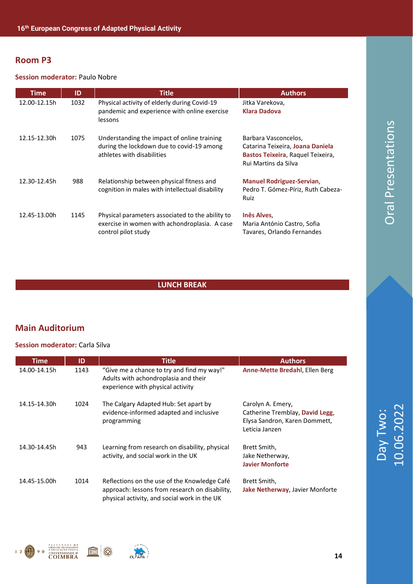#### **Session moderator:** Paulo Nobre

| Time         | ID   | <b>Title</b>                                                                                                             | <b>Authors</b>                                                                                                        |
|--------------|------|--------------------------------------------------------------------------------------------------------------------------|-----------------------------------------------------------------------------------------------------------------------|
| 12.00-12.15h | 1032 | Physical activity of elderly during Covid-19<br>pandemic and experience with online exercise<br>lessons                  | Jitka Varekova,<br><b>Klara Dadova</b>                                                                                |
| 12.15-12.30h | 1075 | Understanding the impact of online training<br>during the lockdown due to covid-19 among<br>athletes with disabilities   | Barbara Vasconcelos,<br>Catarina Teixeira, Joana Daniela<br>Bastos Teixeira, Raquel Teixeira,<br>Rui Martins da Silva |
| 12.30-12.45h | 988  | Relationship between physical fitness and<br>cognition in males with intellectual disability                             | <b>Manuel Rodriguez-Servian,</b><br>Pedro T. Gómez-Píriz, Ruth Cabeza-<br>Ruiz                                        |
| 12.45-13.00h | 1145 | Physical parameters associated to the ability to<br>exercise in women with achondroplasia. A case<br>control pilot study | <b>Inês Alves</b><br>Maria António Castro, Sofia<br>Tavares, Orlando Fernandes                                        |

#### **LUNCH BREAK**

#### **Main Auditorium**

#### **Session moderator:** Carla Silva

**FACULDADE DE**<br>CIÈNCIAS DO DESPORTO<br>I EDUCAÇÃO FÍSICA<br>UNIVERSIDADE D

 $12$   $0$  90

| <b>Time</b>  | ID   | <b>Title</b>                                                                                                                                   | <b>Authors</b>                                                                                          |
|--------------|------|------------------------------------------------------------------------------------------------------------------------------------------------|---------------------------------------------------------------------------------------------------------|
| 14.00-14.15h | 1143 | "Give me a chance to try and find my way!"<br>Adults with achondroplasia and their<br>experience with physical activity                        | <b>Anne-Mette Bredahl, Ellen Berg</b>                                                                   |
| 14.15-14.30h | 1024 | The Calgary Adapted Hub: Set apart by<br>evidence-informed adapted and inclusive<br>programming                                                | Carolyn A. Emery,<br>Catherine Tremblay, David Legg,<br>Elysa Sandron, Karen Dommett,<br>Leticia Janzen |
| 14.30-14.45h | 943  | Learning from research on disability, physical<br>activity, and social work in the UK                                                          | Brett Smith,<br>Jake Netherway,<br><b>Javier Monforte</b>                                               |
| 14.45-15.00h | 1014 | Reflections on the use of the Knowledge Café<br>approach: lessons from research on disability,<br>physical activity, and social work in the UK | Brett Smith,<br>Jake Netherway, Javier Monforte                                                         |



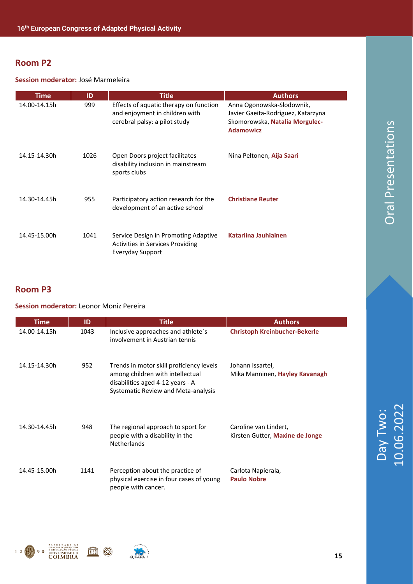#### **Session moderator:** José Marmeleira

| <b>Time</b>  | ID   | <b>Title</b>                                                                                              | <b>Authors</b>                                                                                                        |
|--------------|------|-----------------------------------------------------------------------------------------------------------|-----------------------------------------------------------------------------------------------------------------------|
| 14.00-14.15h | 999  | Effects of aquatic therapy on function<br>and enjoyment in children with<br>cerebral palsy: a pilot study | Anna Ogonowska-Slodownik,<br>Javier Gaeita-Rodriguez, Katarzyna<br>Skomorowska, Natalia Morgulec-<br><b>Adamowicz</b> |
| 14.15-14.30h | 1026 | Open Doors project facilitates<br>disability inclusion in mainstream<br>sports clubs                      | Nina Peltonen, Aija Saari                                                                                             |
| 14.30-14.45h | 955  | Participatory action research for the<br>development of an active school                                  | <b>Christiane Reuter</b>                                                                                              |
| 14.45-15.00h | 1041 | Service Design in Promoting Adaptive<br><b>Activities in Services Providing</b><br>Everyday Support       | Katariina Jauhiainen                                                                                                  |

#### **Room P3**

#### **Session moderator:** Leonor Moniz Pereira

| <b>Time</b>  | ID   | <b>Title</b>                                                                                                                                            | <b>Authors</b>                                            |
|--------------|------|---------------------------------------------------------------------------------------------------------------------------------------------------------|-----------------------------------------------------------|
| 14.00-14.15h | 1043 | Inclusive approaches and athlete's<br>involvement in Austrian tennis                                                                                    | <b>Christoph Kreinbucher-Bekerle</b>                      |
| 14.15-14.30h | 952  | Trends in motor skill proficiency levels<br>among children with intellectual<br>disabilities aged 4-12 years - A<br>Systematic Review and Meta-analysis | Johann Issartel,<br>Mika Manninen, <b>Hayley Kavanagh</b> |
| 14.30-14.45h | 948  | The regional approach to sport for<br>people with a disability in the<br><b>Netherlands</b>                                                             | Caroline van Lindert,<br>Kirsten Gutter, Maxine de Jonge  |
| 14.45-15.00h | 1141 | Perception about the practice of<br>physical exercise in four cases of young<br>people with cancer.                                                     | Carlota Napierala,<br><b>Paulo Nobre</b>                  |





Day Two:<br>10.06.2022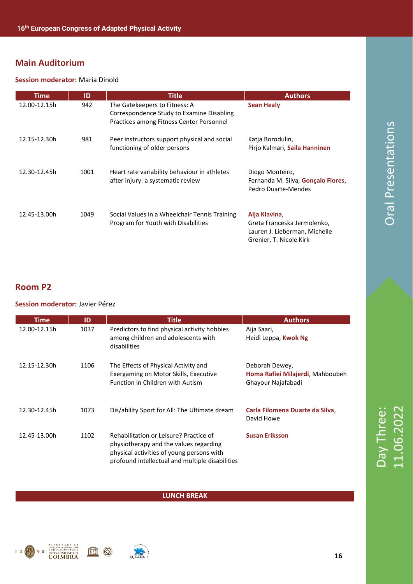#### **Session moderator:** Maria Dinold

| <b>Time</b>  | ID   | <b>Title</b>                                                                                                           | <b>Authors</b>                                                                                           |
|--------------|------|------------------------------------------------------------------------------------------------------------------------|----------------------------------------------------------------------------------------------------------|
| 12.00-12.15h | 942  | The Gatekeepers to Fitness: A<br>Correspondence Study to Examine Disabling<br>Practices among Fitness Center Personnel | <b>Sean Healy</b>                                                                                        |
| 12.15-12.30h | 981  | Peer instructors support physical and social<br>functioning of older persons                                           | Katia Borodulin,<br>Pirjo Kalmari, Saila Hanninen                                                        |
| 12.30-12.45h | 1001 | Heart rate variability behaviour in athletes<br>after injury: a systematic review                                      | Diogo Monteiro,<br>Fernanda M. Silva, Gonçalo Flores,<br>Pedro Duarte-Mendes                             |
| 12.45-13.00h | 1049 | Social Values in a Wheelchair Tennis Training<br>Program for Youth with Disabilities                                   | Aija Klavina,<br>Greta Franceska Jermolenko,<br>Lauren J. Lieberman, Michelle<br>Grenier, T. Nicole Kirk |

#### **Room P2**

#### **Session moderator:** Javier Pérez

| Time         | ID   | Title                                                                                                                                                                            | <b>Authors</b>                                                           |
|--------------|------|----------------------------------------------------------------------------------------------------------------------------------------------------------------------------------|--------------------------------------------------------------------------|
| 12.00-12.15h | 1037 | Predictors to find physical activity hobbies<br>among children and adolescents with<br>disabilities                                                                              | Aija Saari,<br>Heidi Leppa, Kwok Ng                                      |
| 12.15-12.30h | 1106 | The Effects of Physical Activity and<br>Exergaming on Motor Skills, Executive<br>Function in Children with Autism                                                                | Deborah Dewey,<br>Homa Rafiei Milajerdi, Mahboubeh<br>Ghayour Najafabadi |
| 12.30-12.45h | 1073 | Dis/ability Sport for All: The Ultimate dream                                                                                                                                    | Carla Filomena Duarte da Silva<br>David Howe                             |
| 12.45-13.00h | 1102 | Rehabilitation or Leisure? Practice of<br>physiotherapy and the values regarding<br>physical activities of young persons with<br>profound intellectual and multiple disabilities | <b>Susan Eriksson</b>                                                    |

#### **LUNCH BREAK**





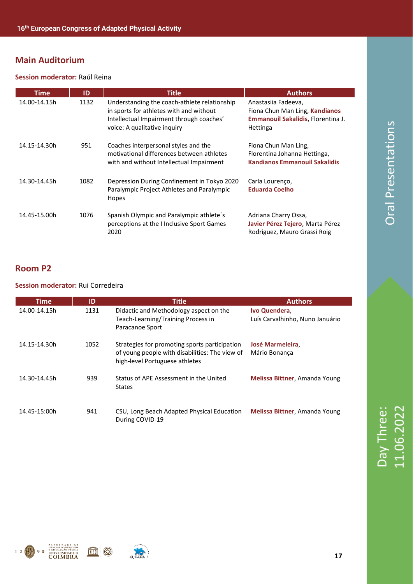#### **Session moderator:** Raúl Reina

| <b>Time</b>  | ID   | <b>Title</b>                                                                                                                                                        | <b>Authors</b>                                                                                          |
|--------------|------|---------------------------------------------------------------------------------------------------------------------------------------------------------------------|---------------------------------------------------------------------------------------------------------|
| 14.00-14.15h | 1132 | Understanding the coach-athlete relationship<br>in sports for athletes with and without<br>Intellectual Impairment through coaches'<br>voice: A qualitative inquiry | Anastasiia Fadeeva,<br>Fiona Chun Man Ling, Kandianos<br>Emmanouil Sakalidis, Florentina J.<br>Hettinga |
| 14.15-14.30h | 951  | Coaches interpersonal styles and the<br>motivational differences between athletes<br>with and without Intellectual Impairment                                       | Fiona Chun Man Ling,<br>Florentina Johanna Hettinga,<br><b>Kandianos Emmanouil Sakalidis</b>            |
| 14.30-14.45h | 1082 | Depression During Confinement in Tokyo 2020<br>Paralympic Project Athletes and Paralympic<br>Hopes                                                                  | Carla Lourenço,<br><b>Eduarda Coelho</b>                                                                |
| 14.45-15.00h | 1076 | Spanish Olympic and Paralympic athlete's<br>perceptions at the I Inclusive Sport Games<br>2020                                                                      | Adriana Charry Ossa,<br>Javier Pérez Tejero, Marta Pérez<br>Rodriguez, Mauro Grassi Roig                |

#### **Room P2**

#### **Session moderator:** Rui Corredeira

| Time         | ID   | <b>Title</b>                                                                                                                      | <b>Authors</b>                                  |
|--------------|------|-----------------------------------------------------------------------------------------------------------------------------------|-------------------------------------------------|
| 14.00-14.15h | 1131 | Didactic and Methodology aspect on the<br>Teach-Learning/Training Process in<br>Paracanoe Sport                                   | Ivo Quendera<br>Luís Carvalhinho, Nuno Januário |
| 14.15-14.30h | 1052 | Strategies for promoting sports participation<br>of young people with disabilities: The view of<br>high-level Portuguese athletes | <b>José Marmeleira</b><br>Mário Bonanca         |
| 14.30-14.45h | 939  | Status of APE Assessment in the United<br><b>States</b>                                                                           | Melissa Bittner, Amanda Young                   |
| 14.45-15:00h | 941  | CSU, Long Beach Adapted Physical Education<br>During COVID-19                                                                     | Melissa Bittner, Amanda Young                   |



Day Three:<br>11.06.2022



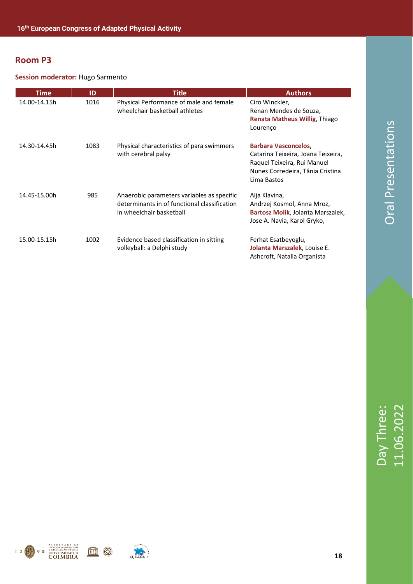#### **Session moderator:** Hugo Sarmento

| <b>Time</b>  | ID   | <b>Title</b>                                                                                                           | <b>Authors</b>                                                                                                                                      |
|--------------|------|------------------------------------------------------------------------------------------------------------------------|-----------------------------------------------------------------------------------------------------------------------------------------------------|
| 14.00-14.15h | 1016 | Physical Performance of male and female<br>wheelchair basketball athletes                                              | Ciro Winckler,<br>Renan Mendes de Souza,<br>Renata Matheus Willig, Thiago<br>Lourenço                                                               |
| 14.30-14.45h | 1083 | Physical characteristics of para swimmers<br>with cerebral palsy                                                       | <b>Barbara Vasconcelos,</b><br>Catarina Teixeira, Joana Teixeira,<br>Raquel Teixeira, Rui Manuel<br>Nunes Corredeira, Tânia Cristina<br>Lima Bastos |
| 14.45-15.00h | 985  | Anaerobic parameters variables as specific<br>determinants in of functional classification<br>in wheelchair basketball | Aija Klavina,<br>Andrzej Kosmol, Anna Mroz,<br>Bartosz Molik, Jolanta Marszalek,<br>Jose A. Navia, Karol Gryko,                                     |
| 15.00-15.15h | 1002 | Evidence based classification in sitting<br>volleyball: a Delphi study                                                 | Ferhat Esatbeyoglu,<br>Jolanta Marszalek, Louise E.<br>Ashcroft, Natalia Organista                                                                  |



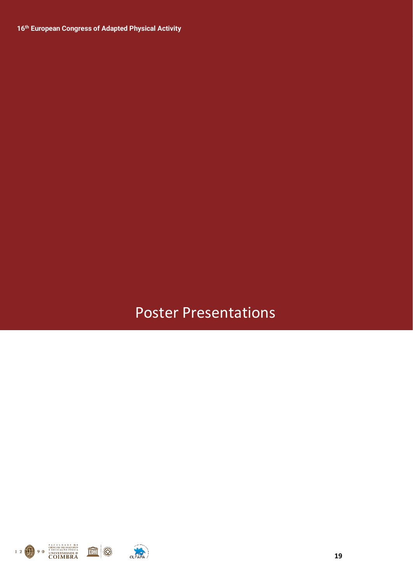### Poster Presentations

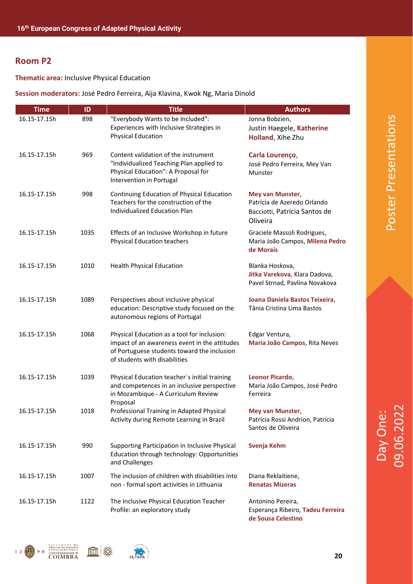**Thematic area:** Inclusive Physical Education

#### **Session moderators:** José Pedro Ferreira, Aija Klavina, Kwok Ng, Maria Dinold

| <b>Time</b>  | ID   | <b>Title</b>                                                                                                                                                                 | <b>Authors</b>                                                                               |
|--------------|------|------------------------------------------------------------------------------------------------------------------------------------------------------------------------------|----------------------------------------------------------------------------------------------|
| 16.15-17.15h | 898  | "Everybody Wants to be Included":<br>Experiences with Inclusive Strategies in<br><b>Physical Education</b>                                                                   | Jonna Bobzien,<br>Justin Haegele, Katherine<br>Holland, Xihe Zhu                             |
| 16.15-17.15h | 969  | Content validation of the instrument<br>"Individualized Teaching Plan applied to<br>Physical Education": A Proposal for<br>Intervention in Portugal                          | Carla Lourenço,<br>José Pedro Ferreira, Mey Van<br>Munster                                   |
| 16.15-17.15h | 998  | Continuing Education of Physical Education<br>Teachers for the construction of the<br>Individualized Education Plan                                                          | Mey van Munster,<br>Patrícia de Azeredo Orlando<br>Bacciotti, Patrícia Santos de<br>Oliveira |
| 16.15-17.15h | 1035 | Effects of an Inclusive Workshop in future<br><b>Physical Education teachers</b>                                                                                             | Graciele Massoli Rodrigues,<br>Maria João Campos, Milena Pedro<br>de Morais                  |
| 16.15-17.15h | 1010 | <b>Health Physical Education</b>                                                                                                                                             | Blanka Hoskova,<br>Jitka Varekova, Klara Dadova,<br>Pavel Strnad, Pavlina Novakova           |
| 16.15-17.15h | 1089 | Perspectives about inclusive physical<br>education: Descriptive study focused on the<br>autonomous regions of Portugal                                                       | Joana Daniela Bastos Teixeira,<br>Tânia Cristina Lima Bastos                                 |
| 16.15-17.15h | 1068 | Physical Education as a tool for inclusion:<br>impact of an awareness event in the attitudes<br>of Portuguese students toward the inclusion<br>of students with disabilities | Edgar Ventura,<br>Maria João Campos, Rita Neves                                              |
| 16.15-17.15h | 1039 | Physical Education teacher's initial training<br>and competences in an inclusive perspective<br>in Mozambique - A Curriculum Review                                          | Leonor Picardo,<br>Maria João Campos, José Pedro<br>Ferreira                                 |
| 16.15-17.15h | 1018 | Proposal<br>Professional Training in Adapted Physical<br>Activity during Remote Learning in Brazil                                                                           | <b>Mey van Munster,</b><br>Patrícia Rossi Andrion, Patrícia<br>Santos de Oliveira            |
| 16.15-17.15h | 990  | Supporting Participation in Inclusive Physical<br>Education through technology: Opportunities<br>and Challenges                                                              | Svenja Kehm                                                                                  |
| 16.15-17.15h | 1007 | The inclusion of children with disabilities into<br>non - formal sport activities in Lithuania                                                                               | Diana Reklaitiene,<br><b>Renatas Mizeras</b>                                                 |
| 16.15-17.15h | 1122 | The Inclusive Physical Education Teacher<br>Profile: an exploratory study                                                                                                    | Antonino Pereira,<br>Esperança Ribeiro, Tadeu Ferreira                                       |





Poster Presentations

Poster Presentations

**de Sousa Celestino**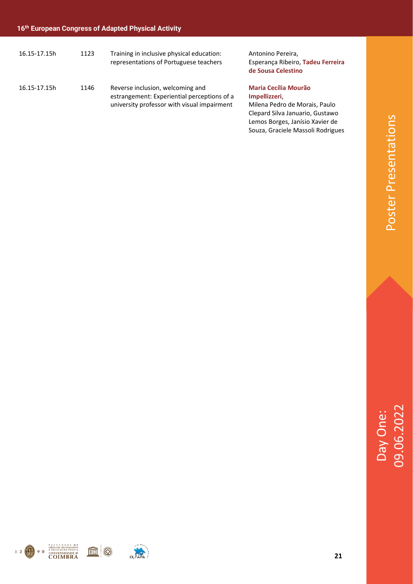| 16.15-17.15h | 1123 | Training in inclusive physical education:<br>representations of Portuguese teachers                                            | Antonino Pereira,<br>Esperança Ribeiro, Tadeu Ferreira<br>de Sousa Celestino                                                                        |
|--------------|------|--------------------------------------------------------------------------------------------------------------------------------|-----------------------------------------------------------------------------------------------------------------------------------------------------|
| 16.15-17.15h | 1146 | Reverse inclusion, welcoming and<br>estrangement: Experiential perceptions of a<br>university professor with visual impairment | <b>Maria Cecília Mourão</b><br>Impellizzeri,<br>Milena Pedro de Morais, Paulo<br>Clepard Silva Januario, Gustawo<br>Lemos Borges, Janísio Xavier de |

Souza, Graciele Massoli Rodrigues







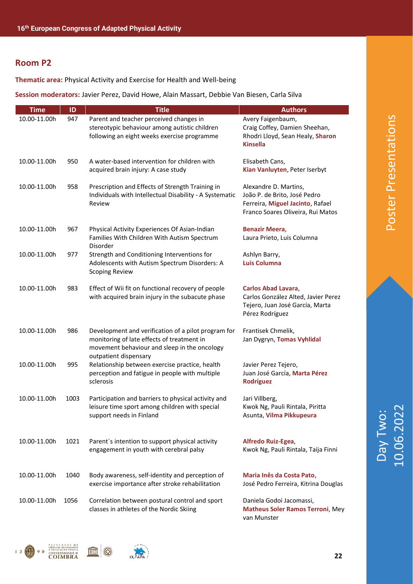**Thematic area:** Physical Activity and Exercise for Health and Well-being

**Session moderators:** Javier Perez, David Howe, Alain Massart, Debbie Van Biesen, Carla Silva

| <b>Time</b>  | ID   | <b>Title</b>                                                                                                                                                               | <b>Authors</b>                                                                                                                 |
|--------------|------|----------------------------------------------------------------------------------------------------------------------------------------------------------------------------|--------------------------------------------------------------------------------------------------------------------------------|
| 10.00-11.00h | 947  | Parent and teacher perceived changes in<br>stereotypic behaviour among autistic children<br>following an eight weeks exercise programme                                    | Avery Faigenbaum,<br>Craig Coffey, Damien Sheehan,<br>Rhodri Lloyd, Sean Healy, Sharon<br><b>Kinsella</b>                      |
| 10.00-11.00h | 950  | A water-based intervention for children with<br>acquired brain injury: A case study                                                                                        | Elisabeth Cans,<br>Kian Vanluyten, Peter Iserbyt                                                                               |
| 10.00-11.00h | 958  | Prescription and Effects of Strength Training in<br>Individuals with Intellectual Disability - A Systematic<br>Review                                                      | Alexandre D. Martins,<br>João P. de Brito, José Pedro<br>Ferreira, Miguel Jacinto, Rafael<br>Franco Soares Oliveira, Rui Matos |
| 10.00-11.00h | 967  | Physical Activity Experiences Of Asian-Indian<br>Families With Children With Autism Spectrum<br>Disorder                                                                   | <b>Benazir Meera,</b><br>Laura Prieto, Luis Columna                                                                            |
| 10.00-11.00h | 977  | Strength and Conditioning Interventions for<br>Adolescents with Autism Spectrum Disorders: A<br><b>Scoping Review</b>                                                      | Ashlyn Barry,<br><b>Luis Columna</b>                                                                                           |
| 10.00-11.00h | 983  | Effect of Wii fit on functional recovery of people<br>with acquired brain injury in the subacute phase                                                                     | Carlos Abad Lavara,<br>Carlos González Alted, Javier Perez<br>Tejero, Juan José García, Marta<br>Pérez Rodríguez               |
| 10.00-11.00h | 986  | Development and verification of a pilot program for<br>monitoring of late effects of treatment in<br>movement behaviour and sleep in the oncology<br>outpatient dispensary | Frantisek Chmelik,<br>Jan Dygryn, Tomas Vyhlidal                                                                               |
| 10.00-11.00h | 995  | Relationship between exercise practice, health<br>perception and fatigue in people with multiple<br>sclerosis                                                              | Javier Perez Tejero,<br>Juan José García, Marta Pérez<br>Rodríguez                                                             |
| 10.00-11.00h | 1003 | Participation and barriers to physical activity and<br>leisure time sport among children with special<br>support needs in Finland                                          | Jari Villberg,<br>Kwok Ng, Pauli Rintala, Piritta<br>Asunta, Vilma Pikkupeura                                                  |
| 10.00-11.00h | 1021 | Parent's intention to support physical activity<br>engagement in youth with cerebral palsy                                                                                 | Alfredo Ruiz-Egea,<br>Kwok Ng, Pauli Rintala, Taija Finni                                                                      |
| 10.00-11.00h | 1040 | Body awareness, self-identity and perception of<br>exercise importance after stroke rehabilitation                                                                         | Maria Inês da Costa Pato,<br>José Pedro Ferreira, Kitrina Douglas                                                              |
| 10.00-11.00h | 1056 | Correlation between postural control and sport<br>classes in athletes of the Nordic Skiing                                                                                 | Daniela Godoi Jacomassi,<br><b>Matheus Soler Ramos Terroni, Mey</b>                                                            |

**Matheus Soler Ramos Terroni**, Mey van Munster





IIII

Day Two:<br>10.06.2022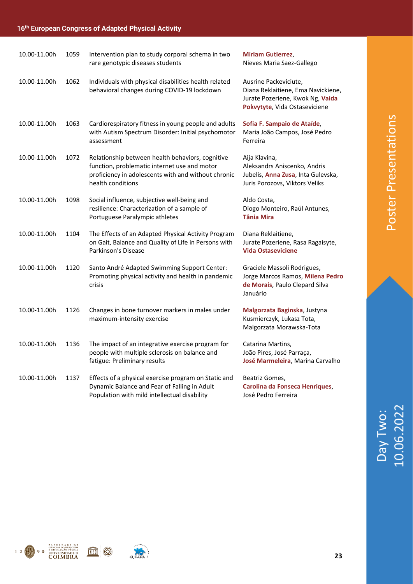| 10.00-11.00h | 1059 | Intervention plan to study corporal schema in two<br>rare genotypic diseases students                                                                                        | <b>Miriam Gutierrez,</b><br>Nieves Maria Saez-Gallego                                                                            |
|--------------|------|------------------------------------------------------------------------------------------------------------------------------------------------------------------------------|----------------------------------------------------------------------------------------------------------------------------------|
| 10.00-11.00h | 1062 | Individuals with physical disabilities health related<br>behavioral changes during COVID-19 lockdown                                                                         | Ausrine Packeviciute,<br>Diana Reklaitiene, Ema Navickiene,<br>Jurate Pozeriene, Kwok Ng, Vaida<br>Pokvytyte, Vida Ostaseviciene |
| 10.00-11.00h | 1063 | Cardiorespiratory fitness in young people and adults<br>with Autism Spectrum Disorder: Initial psychomotor<br>assessment                                                     | Sofia F. Sampaio de Ataíde,<br>Maria João Campos, José Pedro<br>Ferreira                                                         |
| 10.00-11.00h | 1072 | Relationship between health behaviors, cognitive<br>function, problematic internet use and motor<br>proficiency in adolescents with and without chronic<br>health conditions | Aija Klavina,<br>Aleksandrs Aniscenko, Andris<br>Jubelis, Anna Zusa, Inta Gulevska,<br>Juris Porozovs, Viktors Veliks            |
| 10.00-11.00h | 1098 | Social influence, subjective well-being and<br>resilience: Characterization of a sample of<br>Portuguese Paralympic athletes                                                 | Aldo Costa,<br>Diogo Monteiro, Raúl Antunes,<br><b>Tânia Mira</b>                                                                |
| 10.00-11.00h | 1104 | The Effects of an Adapted Physical Activity Program<br>on Gait, Balance and Quality of Life in Persons with<br>Parkinson's Disease                                           | Diana Reklaitiene,<br>Jurate Pozeriene, Rasa Ragaisyte,<br><b>Vida Ostaseviciene</b>                                             |
| 10.00-11.00h | 1120 | Santo André Adapted Swimming Support Center:<br>Promoting physical activity and health in pandemic<br>crisis                                                                 | Graciele Massoli Rodrigues,<br>Jorge Marcos Ramos, Milena Pedro<br>de Morais, Paulo Clepard Silva<br>Januário                    |
| 10.00-11.00h | 1126 | Changes in bone turnover markers in males under<br>maximum-intensity exercise                                                                                                | Malgorzata Baginska, Justyna<br>Kusmierczyk, Lukasz Tota,<br>Malgorzata Morawska-Tota                                            |
| 10.00-11.00h | 1136 | The impact of an integrative exercise program for<br>people with multiple sclerosis on balance and<br>fatigue: Preliminary results                                           | Catarina Martins,<br>João Pires, José Parraça,<br>José Marmeleira, Marina Carvalho                                               |
| 10.00-11.00h | 1137 | Effects of a physical exercise program on Static and<br>Dynamic Balance and Fear of Falling in Adult<br>Population with mild intellectual disability                         | Beatriz Gomes,<br>Carolina da Fonseca Henriques,<br>José Pedro Ferreira                                                          |



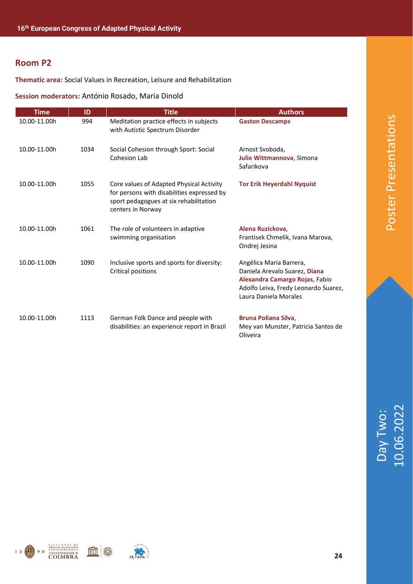**Thematic area:** Social Values in Recreation, Leisure and Rehabilitation

**Session moderators:** António Rosado, Maria Dinold

| <b>Time</b>  | ID   | <b>Title</b>                                                                                                                                          | <b>Authors</b>                                                                                                                                              |
|--------------|------|-------------------------------------------------------------------------------------------------------------------------------------------------------|-------------------------------------------------------------------------------------------------------------------------------------------------------------|
| 10.00-11.00h | 994  | Meditation practice effects in subjects<br>with Autistic Spectrum Disorder                                                                            | <b>Gaston Descamps</b>                                                                                                                                      |
| 10.00-11.00h | 1034 | Social Cohesion through Sport: Social<br>Cohesion Lab                                                                                                 | Arnost Svoboda,<br>Julie Wittmannova, Simona<br>Safarikova                                                                                                  |
| 10.00-11.00h | 1055 | Core values of Adapted Physical Activity<br>for persons with disabilities expressed by<br>sport pedagogues at six rehabilitation<br>centers in Norway | <b>Tor Erik Heyerdahl Nyquist</b>                                                                                                                           |
| 10.00-11.00h | 1061 | The role of volunteers in adaptive<br>swimming organisation                                                                                           | Alena Ruzickova,<br>Frantisek Chmelik, Ivana Marova,<br>Ondrej Jesina                                                                                       |
| 10.00-11.00h | 1090 | Inclusive sports and sports for diversity:<br>Critical positions                                                                                      | Angélica Maria Barrera,<br>Daniela Arevalo Suarez, Diana<br>Alexandra Camargo Rojas, Fabio<br>Adolfo Leiva, Fredy Leonardo Suarez,<br>Laura Daniela Morales |
| 10.00-11.00h | 1113 | German Folk Dance and people with<br>disabilities: an experience report in Brazil                                                                     | Bruna Poliana Silva,<br>Mey van Munster, Patricia Santos de<br>Oliveira                                                                                     |



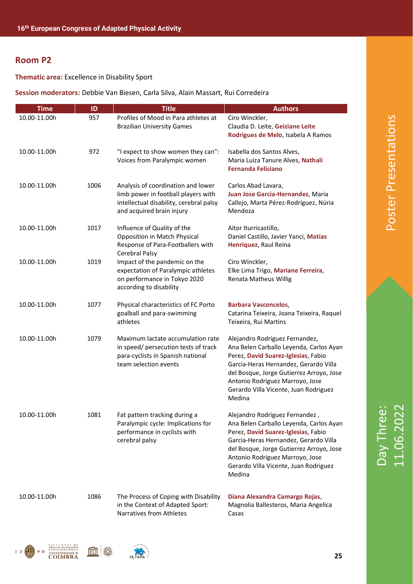**Thematic area:** Excellence in Disability Sport

#### **Session moderators:** Debbie Van Biesen, Carla Silva, Alain Massart, Rui Corredeira

| <b>Time</b>  | ID   | <b>Title</b>                                                                                                                                      | <b>Authors</b>                                                                                                                                                                                                                                                                              |
|--------------|------|---------------------------------------------------------------------------------------------------------------------------------------------------|---------------------------------------------------------------------------------------------------------------------------------------------------------------------------------------------------------------------------------------------------------------------------------------------|
| 10.00-11.00h | 957  | Profiles of Mood in Para athletes at<br><b>Brazilian University Games</b>                                                                         | Ciro Winckler,<br>Claudia D. Leite, Geiziane Leite<br>Rodrigues de Melo, Isabela A Ramos                                                                                                                                                                                                    |
| 10.00-11.00h | 972  | "I expect to show women they can":<br>Voices from Paralympic women                                                                                | Isabella dos Santos Alves,<br>Maria Luiza Tanure Alves, Nathali<br><b>Fernanda Feliciano</b>                                                                                                                                                                                                |
| 10.00-11.00h | 1006 | Analysis of coordination and lower<br>limb power in football players with<br>intellectual disability, cerebral palsy<br>and acquired brain injury | Carlos Abad Lavara,<br>Juan Jose Garcia-Hernandez, Maria<br>Callejo, Marta Pérez-Rodríguez, Núria<br>Mendoza                                                                                                                                                                                |
| 10.00-11.00h | 1017 | Influence of Quality of the<br>Opposition in Match Physical<br>Response of Para-Footballers with<br>Cerebral Palsy                                | Aitor Iturricastillo,<br>Daniel Castillo, Javier Yanci, Matias<br>Henriquez, Raul Reina                                                                                                                                                                                                     |
| 10.00-11.00h | 1019 | Impact of the pandemic on the<br>expectation of Paralympic athletes<br>on performance in Tokyo 2020<br>according to disability                    | Ciro Winckler,<br>Elke Lima Trigo, Mariane Ferreira,<br>Renata Matheus Willig                                                                                                                                                                                                               |
| 10.00-11.00h | 1077 | Physical characteristics of FC Porto<br>goalball and para-swimming<br>athletes                                                                    | <b>Barbara Vasconcelos,</b><br>Catarina Teixeira, Joana Teixeira, Raquel<br>Teixeira, Rui Martins                                                                                                                                                                                           |
| 10.00-11.00h | 1079 | Maximum lactate accumulation rate<br>in speed/ persecution tests of track<br>para-cyclists in Spanish national<br>team selection events           | Alejandro Rodriguez Fernandez,<br>Ana Belen Carballo Leyenda, Carlos Ayan<br>Perez, David Suarez-Iglesias, Fabio<br>Garcia-Heras Hernandez, Gerardo Villa<br>del Bosque, Jorge Gutierrez Arroyo, Jose<br>Antonio Rodriguez Marroyo, Jose<br>Gerardo Villa Vicente, Juan Rodriguez<br>Medina |
| 10.00-11.00h | 1081 | Fat pattern tracking during a<br>Paralympic cycle: Implications for<br>performance in cyclists with<br>cerebral palsy                             | Alejandro Rodriguez Fernandez,<br>Ana Belen Carballo Leyenda, Carlos Ayan<br>Perez, David Suarez-Iglesias, Fabio<br>Garcia-Heras Hernandez, Gerardo Villa<br>del Bosque, Jorge Gutierrez Arroyo, Jose<br>Antonio Rodriguez Marroyo, Jose<br>Gerardo Villa Vicente, Juan Rodriguez<br>Medina |
| 10.00-11.00h | 1086 | The Process of Coping with Disability<br>in the Context of Adapted Sport:<br>Narratives from Athletes                                             | Diana Alexandra Camargo Rojas,<br>Magnolia Ballesteros, Maria Angelica<br>Casas                                                                                                                                                                                                             |





Poster Presentations

Poster Presentations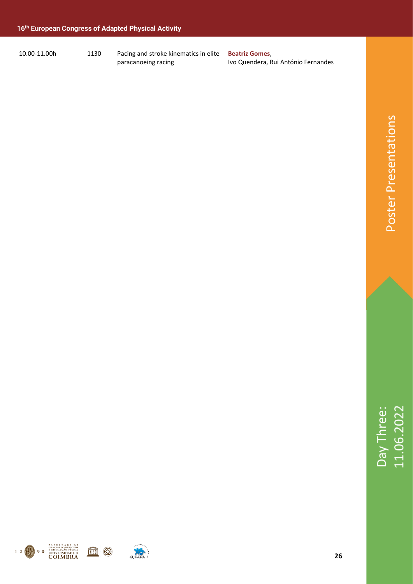10.00-11.00h 1130 Pacing and stroke kinematics in elite

paracanoeing racing

**Beatriz Gomes**, Ivo Quendera, Rui António Fernandes



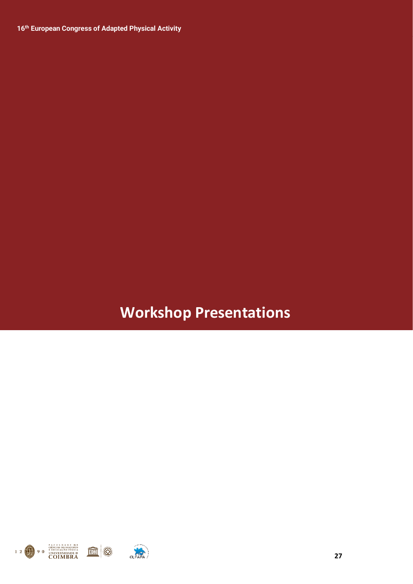### **Workshop Presentations**

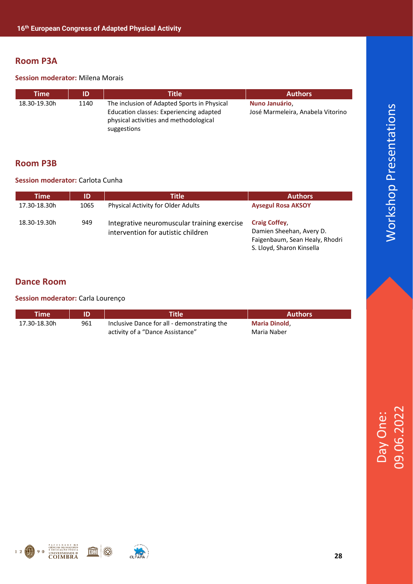#### **Room P3A**

#### **Session moderator:** Milena Morais

| Time         | ID   | <b>Title</b>                                                                                                                                    | <b>Authors</b>                                      |
|--------------|------|-------------------------------------------------------------------------------------------------------------------------------------------------|-----------------------------------------------------|
| 18.30-19.30h | 1140 | The inclusion of Adapted Sports in Physical<br>Education classes: Experiencing adapted<br>physical activities and methodological<br>suggestions | Nuno Januário,<br>José Marmeleira, Anabela Vitorino |

#### **Room P3B**

#### **Session moderator:** Carlota Cunha

| <b>Time</b>  | ID   | <b>Title</b>                                                                      | <b>Authors</b>                                                                                                  |
|--------------|------|-----------------------------------------------------------------------------------|-----------------------------------------------------------------------------------------------------------------|
| 17.30-18.30h | 1065 | <b>Physical Activity for Older Adults</b>                                         | <b>Aysegul Rosa AKSOY</b>                                                                                       |
| 18.30-19.30h | 949  | Integrative neuromuscular training exercise<br>intervention for autistic children | <b>Craig Coffey,</b><br>Damien Sheehan, Avery D.<br>Faigenbaum, Sean Healy, Rhodri<br>S. Lloyd, Sharon Kinsella |

#### **Dance Room**

#### **Session moderator:** Carla Lourenço

| Time         |     | <b>Title</b>                                | <b>Authors</b>      |
|--------------|-----|---------------------------------------------|---------------------|
| 17.30-18.30h | 961 | Inclusive Dance for all - demonstrating the | <b>Maria Dinold</b> |
|              |     | activity of a "Dance Assistance"            | Maria Naber         |



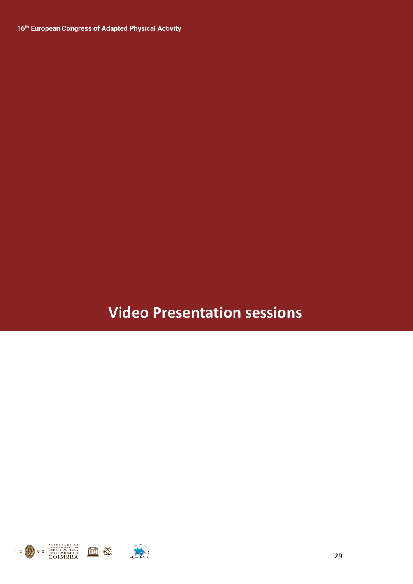### **Video Presentation sessions**

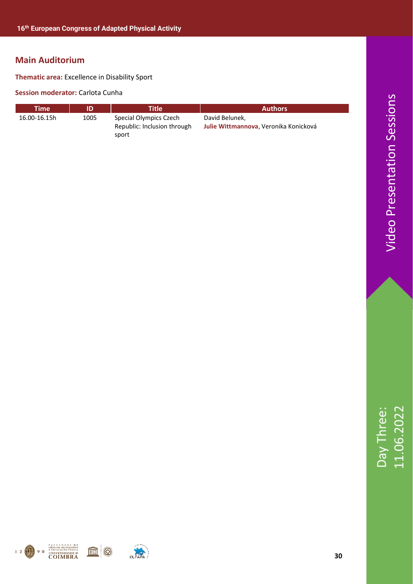**Thematic area:** Excellence in Disability Sport

#### **Session moderator:** Carlota Cunha

| Time'        |      | <b>Title</b>                                                   | <b>Authors</b>                                          |
|--------------|------|----------------------------------------------------------------|---------------------------------------------------------|
| 16.00-16.15h | 1005 | Special Olympics Czech<br>Republic: Inclusion through<br>sport | David Belunek,<br>Julie Wittmannova, Veronika Konicková |



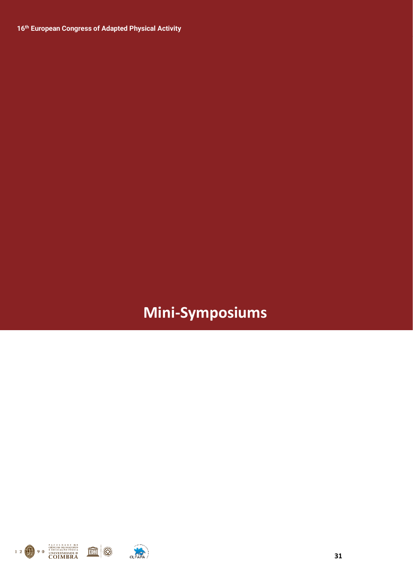## **Mini-Symposiums**



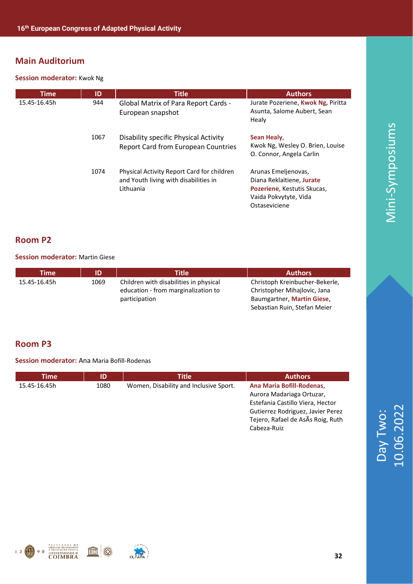#### **Session moderator:** Kwok Ng

| <b>Time</b>  | ID   | <b>Title</b>                                                                                     | <b>Authors</b>                                                                                                            |
|--------------|------|--------------------------------------------------------------------------------------------------|---------------------------------------------------------------------------------------------------------------------------|
| 15.45-16.45h | 944  | <b>Global Matrix of Para Report Cards -</b><br>European snapshot                                 | Jurate Pozeriene, Kwok Ng, Piritta<br>Asunta, Salome Aubert, Sean<br>Healy                                                |
|              | 1067 | Disability specific Physical Activity<br><b>Report Card from European Countries</b>              | Sean Healy,<br>Kwok Ng, Wesley O. Brien, Louise<br>O. Connor, Angela Carlin                                               |
|              | 1074 | Physical Activity Report Card for children<br>and Youth living with disabilities in<br>Lithuania | Arunas Emeljenovas,<br>Diana Reklaitiene, Jurate<br>Pozeriene, Kestutis Skucas,<br>Vaida Pokvytyte, Vida<br>Ostaseviciene |

#### **Room P2**

#### **Session moderator:** Martin Giese

| Time         | ID   | <b>Title</b>                                                                  | <b>Authors</b>                                                 |
|--------------|------|-------------------------------------------------------------------------------|----------------------------------------------------------------|
| 15.45-16.45h | 1069 | Children with disabilities in physical<br>education - from marginalization to | Christoph Kreinbucher-Bekerle,<br>Christopher Mihajlovic, Jana |
|              |      | participation                                                                 | Baumgartner, Martin Giese,<br>Sebastian Ruin, Stefan Meier     |

#### **Room P3**

#### **Session moderator:** Ana Maria Bofill-Rodenas

| <b>Time</b>  | ID   | Title                                  | <b>Authors</b>                                                                                                                                                                     |
|--------------|------|----------------------------------------|------------------------------------------------------------------------------------------------------------------------------------------------------------------------------------|
| 15.45-16.45h | 1080 | Women, Disability and Inclusive Sport. | Ana Maria Bofill-Rodenas<br>Aurora Madariaga Ortuzar,<br>Estefania Castillo Viera, Hector<br>Gutierrez Rodriguez, Javier Perez<br>Tejero, Rafael de AsÃs Roig, Ruth<br>Cabeza-Ruiz |



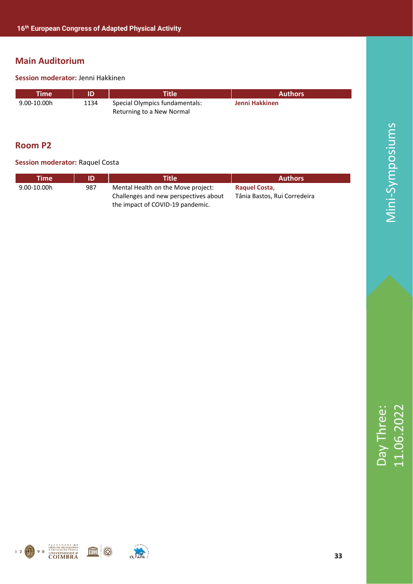#### **Session moderator:** Jenni Hakkinen

| Time        | ID   | <b>Title</b>                                                | <b>Authors</b> |
|-------------|------|-------------------------------------------------------------|----------------|
| 9.00-10.00h | 1134 | Special Olympics fundamentals:<br>Returning to a New Normal | Jenni Hakkinen |

#### **Room P2**

#### **Session moderator: Raquel Costa**

| Time'           | ID  | Title $^{\prime}$                                                                                               | <b>Authors</b>                               |
|-----------------|-----|-----------------------------------------------------------------------------------------------------------------|----------------------------------------------|
| $9.00 - 10.00h$ | 987 | Mental Health on the Move project:<br>Challenges and new perspectives about<br>the impact of COVID-19 pandemic. | Raguel Costa<br>Tânia Bastos, Rui Corredeira |



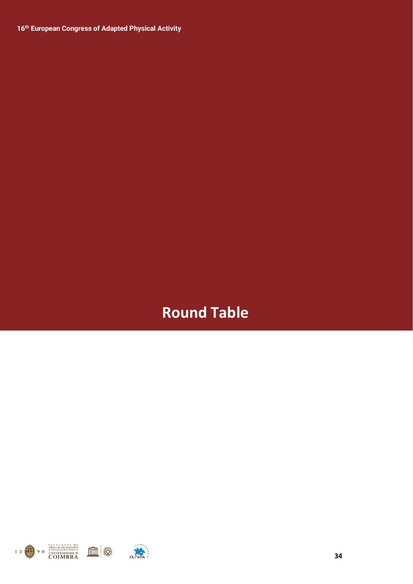### **Round Table**



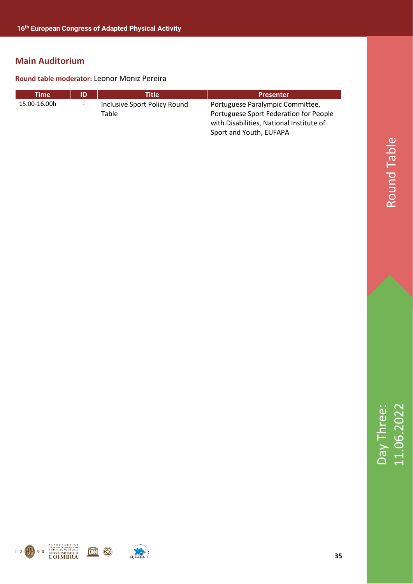#### **Round table moderator:** Leonor Moniz Pereira

| Time         | ID                       | Title                        | <b>Presenter</b>                         |
|--------------|--------------------------|------------------------------|------------------------------------------|
| 15.00-16.00h | $\overline{\phantom{a}}$ | Inclusive Sport Policy Round | Portuguese Paralympic Committee,         |
|              |                          | Table                        | Portuguese Sport Federation for People   |
|              |                          |                              | with Disabilities, National Institute of |
|              |                          |                              | Sport and Youth, EUFAPA                  |